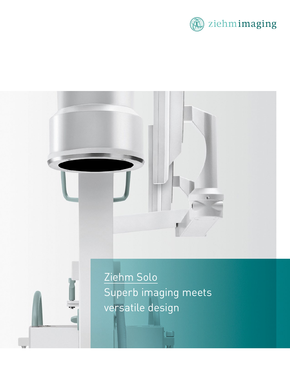

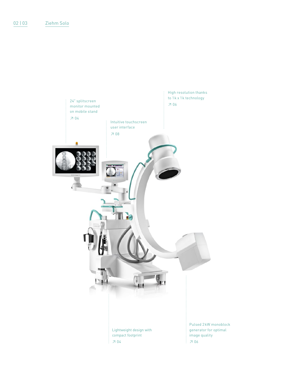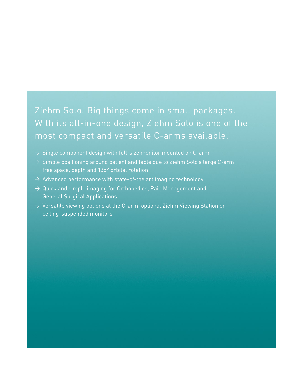# Ziehm Solo. Big things come in small packages. With its all-in-one design, Ziehm Solo is one of the most compact and versatile C-arms available.

- $\rightarrow$  Single component design with full-size monitor mounted on C-arm
- $\rightarrow$  Simple positioning around patient and table due to Ziehm Solo's large C-arm free space, depth and 135° orbital rotation
- $\rightarrow$  Advanced performance with state-of-the art imaging technology
- $\rightarrow$  Quick and simple imaging for Orthopedics, Pain Management and General Surgical Applications
- $\rightarrow$  Versatile viewing options at the C-arm, optional Ziehm Viewing Station or ceiling-suspended monitors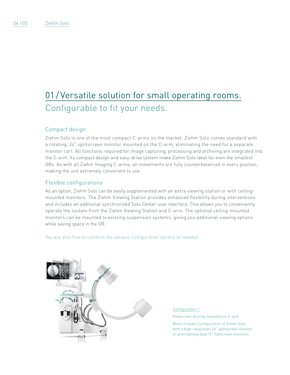# 01 / Versatile solution for small operating rooms. Configurable to fit your needs.

### Compact design

Ziehm Solo is one of the most compact C-arms on the market. Ziehm Solo comes standard with a rotating, 24" splitscreen monitor mounted on the C-arm, eliminating the need for a separate monitor cart. All functions required for image capturing, processing and archiving are integrated into the C-arm. Its compact design and easy-drive system make Ziehm Solo ideal for even the smallest ORs. As with all Ziehm Imaging C-arms, all movements are fully counterbalanced in every position, making the unit extremely convenient to use.

### Flexible configurations

As an option, Ziehm Solo can be easily supplemented with an extra viewing station or with ceilingmounted monitors. The Ziehm Viewing Station provides enhanced flexibility during interventions and includes an additional synchronized Solo Center user interface. This allows you to conveniently operate the system from the Ziehm Viewing Station and C-arm. The optional ceiling-mounted monitors can be mounted to existing suspension systems, giving you additional viewing options while saving space in the OR.

You are also free to combine the various configuration options as needed.



Configuration 1:

Flatscreen directly mounted on C-arm

Most compact configuration of Ziehm Solo with a high-resolution 24" splitscreen monitor or alternatively dual19" flatscreen monitors.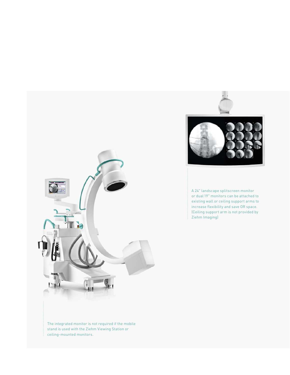

A 24" landscape splitscreen monitor or dual19" monitors can be attached to existing wall or ceiling support arms to increase flexibility and save OR space. (Ceiling support arm is not provided by Ziehm Imaging)



The integrated monitor is not required if the mobile stand is used with the Ziehm Viewing Station or ceiling-mounted monitors.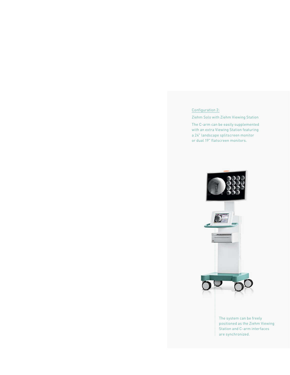Configuration 2:

Ziehm Solo with Ziehm Viewing Station

The C-arm can be easily supplemented with an extra Viewing Station featuring a 24" landscape splitscreen monitor or dual 19" flatscreen monitors.



The system can be freely positioned as the Ziehm Viewing Station and C-arm interfaces are synchronized.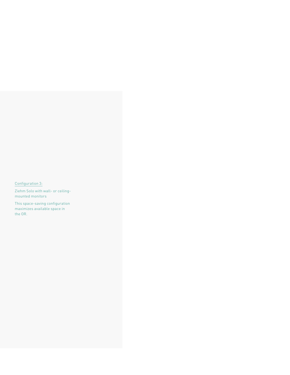#### Configuration 3:

Ziehm Solo with wall- or ceilingmounted monitors

This space-saving configuration maximizes available space in the OR.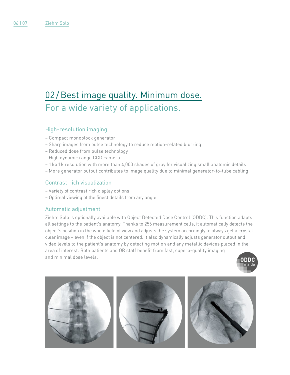# 02 / Best image quality. Minimum dose. For a wide variety of applications.

### High-resolution imaging

- Compact monoblock generator
- Sharp images from pulse technology to reduce motion-related blurring
- Reduced dose from pulse technology
- High dynamic range CCD camera
- 1 k x 1 k resolution with more than 4,000 shades of gray for visualizing small anatomic details
- More generator output contributes to image quality due to minimal generator-to-tube cabling

### Contrast-rich visualization

- Variety of contrast rich display options
- Optimal viewing of the finest details from any angle

#### Automatic adjustment

Ziehm Solo is optionally available with Object Detected Dose Control (ODDC). This function adapts all settings to the patient's anatomy. Thanks to 256 measurement cells, it automatically detects the object's position in the whole field of view and adjusts the system accordingly to always get a crystalclear image – even if the object is not centered. It also dynamically adjusts generator output and video levels to the patient's anatomy by detecting motion and any metallic devices placed in the area of interest. Both patients and OR staff benefit from fast, superb-quality imaging and minimal dose levels.



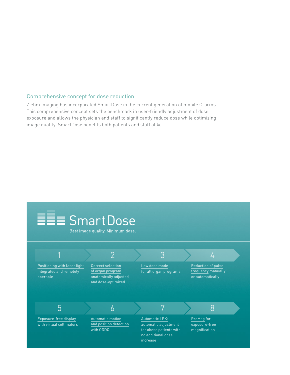#### Comprehensive concept for dose reduction

Ziehm Imaging has incorporated SmartDose in the current generation of mobile C-arms. This comprehensive concept sets the benchmark in user-friendly adjustment of dose exposure and allows the physician and staff to significantly reduce dose while optimizing image quality. SmartDose benefits both patients and staff alike.

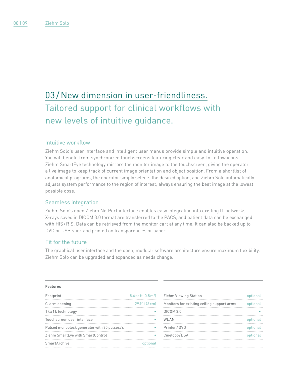# 03/New dimension in user-friendliness. Tailored support for clinical workflows with new levels of intuitive guidance.

#### Intuitive workflow

Ziehm Solo's user interface and intelligent user menus provide simple and intuitive operation. You will benefit from synchronized touchscreens featuring clear and easy-to-follow icons. Ziehm SmartEye technology mirrors the monitor image to the touchscreen, giving the operator a live image to keep track of current image orientation and object position. From a shortlist of anatomical programs, the operator simply selects the desired option, and Ziehm Solo automatically adjusts system performance to the region of interest, always ensuring the best image at the lowest possible dose.

#### Seamless integration

Ziehm Solo's open Ziehm NetPort interface enables easy integration into existing IT networks. X-rays saved in DICOM 3.0 format are transferred to the PACS, and patient data can be exchanged with HIS/RIS. Data can be retrieved from the monitor cart at any time. It can also be backed up to DVD or USB stick and printed on transparencies or paper.

### Fit for the future

The graphical user interface and the open, modular software architecture ensure maximum flexibility. Ziehm Solo can be upgraded and expanded as needs change.

#### Features

| Footprint                                   | $8.6$ sq ft $(0.8 \,\mathrm{m}^2)$ |
|---------------------------------------------|------------------------------------|
| C-arm opening                               | 29.9" [76 cm]                      |
| 1kx1ktechnology                             |                                    |
| Touchscreen user interface                  |                                    |
| Pulsed monoblock generator with 30 pulses/s |                                    |
| Ziehm SmartEye with SmartControl            |                                    |
| SmartArchive                                |                                    |
|                                             |                                    |

| Ziehm Viewing Station                      | optional |
|--------------------------------------------|----------|
| Monitors for existing ceiling support arms | optional |
| DICOM 3.0                                  |          |
| WLAN                                       | optional |
| Printer / DVD                              | optional |
| Cineloop/DSA                               | optional |
|                                            |          |